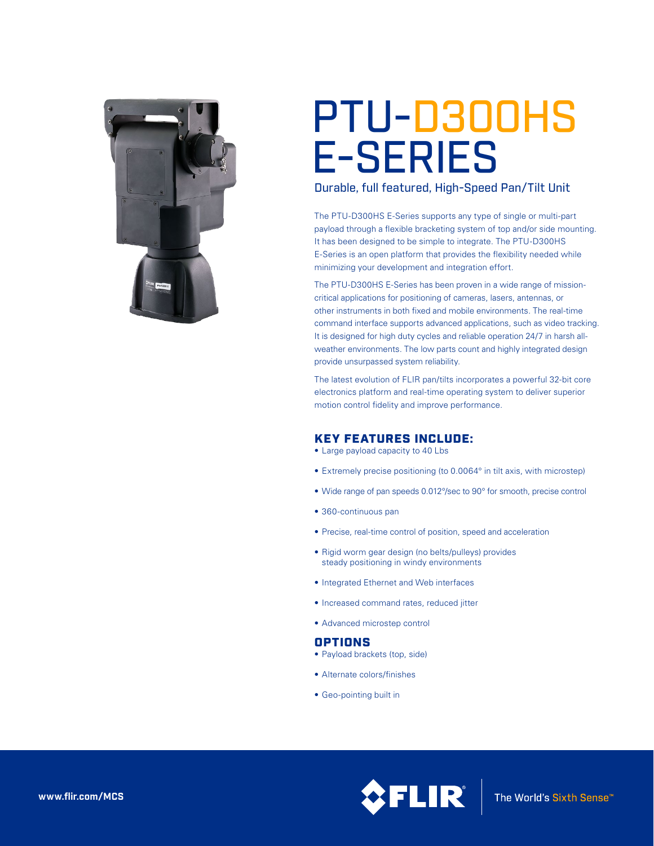

# PTU-D300HS E-SERIES

Durable, full featured, High-Speed Pan/Tilt Unit

The PTU-D300HS E-Series supports any type of single or multi-part payload through a flexible bracketing system of top and/or side mounting. It has been designed to be simple to integrate. The PTU-D300HS E-Series is an open platform that provides the flexibility needed while minimizing your development and integration effort.

The PTU-D300HS E-Series has been proven in a wide range of missioncritical applications for positioning of cameras, lasers, antennas, or other instruments in both fixed and mobile environments. The real-time command interface supports advanced applications, such as video tracking. It is designed for high duty cycles and reliable operation 24/7 in harsh allweather environments. The low parts count and highly integrated design provide unsurpassed system reliability.

The latest evolution of FLIR pan/tilts incorporates a powerful 32-bit core electronics platform and real-time operating system to deliver superior motion control fidelity and improve performance.

## KEY FEATURES INCLUDE:

- Large payload capacity to 40 Lbs
- Extremely precise positioning (to 0.0064° in tilt axis, with microstep)
- Wide range of pan speeds 0.012°/sec to 90° for smooth, precise control
- • 360-continuous pan
- Precise, real-time control of position, speed and acceleration
- Rigid worm gear design (no belts/pulleys) provides steady positioning in windy environments
- • Integrated Ethernet and Web interfaces
- Increased command rates, reduced jitter
- • Advanced microstep control

## OPTIONS

- Payload brackets (top, side)
- • Alternate colors/finishes
- Geo-pointing built in